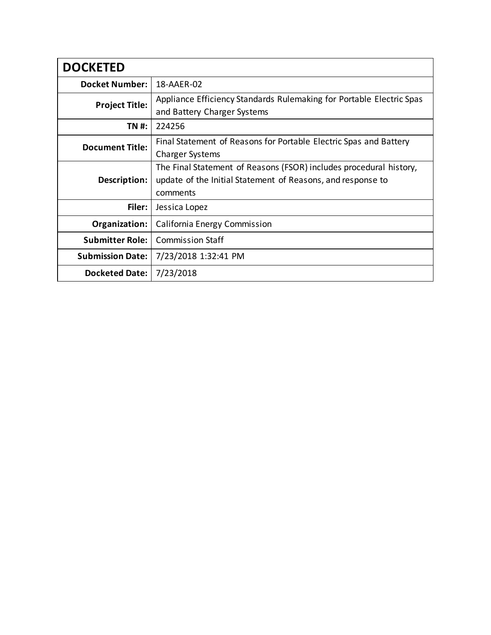| <b>DOCKETED</b>         |                                                                                                                                               |
|-------------------------|-----------------------------------------------------------------------------------------------------------------------------------------------|
| <b>Docket Number:</b>   | 18-AAER-02                                                                                                                                    |
| <b>Project Title:</b>   | Appliance Efficiency Standards Rulemaking for Portable Electric Spas<br>and Battery Charger Systems                                           |
| TN #:                   | 224256                                                                                                                                        |
| <b>Document Title:</b>  | Final Statement of Reasons for Portable Electric Spas and Battery<br><b>Charger Systems</b>                                                   |
| Description:            | The Final Statement of Reasons (FSOR) includes procedural history,<br>update of the Initial Statement of Reasons, and response to<br>comments |
| Filer:                  | Jessica Lopez                                                                                                                                 |
| Organization:           | California Energy Commission                                                                                                                  |
| <b>Submitter Role:</b>  | <b>Commission Staff</b>                                                                                                                       |
| <b>Submission Date:</b> | 7/23/2018 1:32:41 PM                                                                                                                          |
| <b>Docketed Date:</b>   | 7/23/2018                                                                                                                                     |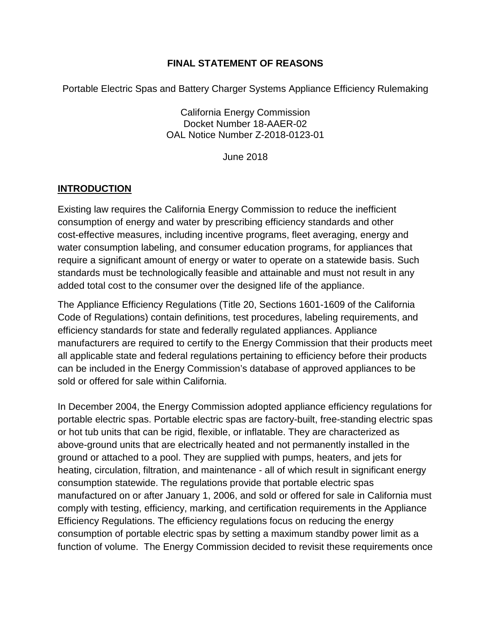### **FINAL STATEMENT OF REASONS**

Portable Electric Spas and Battery Charger Systems Appliance Efficiency Rulemaking

California Energy Commission Docket Number 18-AAER-02 OAL Notice Number Z-2018-0123-01

June 2018

## **INTRODUCTION**

Existing law requires the California Energy Commission to reduce the inefficient consumption of energy and water by prescribing efficiency standards and other cost-effective measures, including incentive programs, fleet averaging, energy and water consumption labeling, and consumer education programs, for appliances that require a significant amount of energy or water to operate on a statewide basis. Such standards must be technologically feasible and attainable and must not result in any added total cost to the consumer over the designed life of the appliance.

The Appliance Efficiency Regulations (Title 20, Sections 1601-1609 of the California Code of Regulations) contain definitions, test procedures, labeling requirements, and efficiency standards for state and federally regulated appliances. Appliance manufacturers are required to certify to the Energy Commission that their products meet all applicable state and federal regulations pertaining to efficiency before their products can be included in the Energy Commission's database of approved appliances to be sold or offered for sale within California.

In December 2004, the Energy Commission adopted appliance efficiency regulations for portable electric spas. Portable electric spas are factory-built, free-standing electric spas or hot tub units that can be rigid, flexible, or inflatable. They are characterized as above-ground units that are electrically heated and not permanently installed in the ground or attached to a pool. They are supplied with pumps, heaters, and jets for heating, circulation, filtration, and maintenance - all of which result in significant energy consumption statewide. The regulations provide that portable electric spas manufactured on or after January 1, 2006, and sold or offered for sale in California must comply with testing, efficiency, marking, and certification requirements in the Appliance Efficiency Regulations. The efficiency regulations focus on reducing the energy consumption of portable electric spas by setting a maximum standby power limit as a function of volume. The Energy Commission decided to revisit these requirements once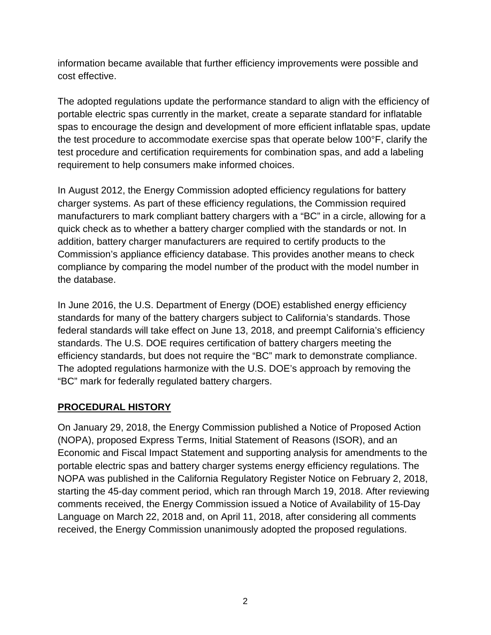information became available that further efficiency improvements were possible and cost effective.

The adopted regulations update the performance standard to align with the efficiency of portable electric spas currently in the market, create a separate standard for inflatable spas to encourage the design and development of more efficient inflatable spas, update the test procedure to accommodate exercise spas that operate below 100°F, clarify the test procedure and certification requirements for combination spas, and add a labeling requirement to help consumers make informed choices.

In August 2012, the Energy Commission adopted efficiency regulations for battery charger systems. As part of these efficiency regulations, the Commission required manufacturers to mark compliant battery chargers with a "BC" in a circle, allowing for a quick check as to whether a battery charger complied with the standards or not. In addition, battery charger manufacturers are required to certify products to the Commission's appliance efficiency database. This provides another means to check compliance by comparing the model number of the product with the model number in the database.

In June 2016, the U.S. Department of Energy (DOE) established energy efficiency standards for many of the battery chargers subject to California's standards. Those federal standards will take effect on June 13, 2018, and preempt California's efficiency standards. The U.S. DOE requires certification of battery chargers meeting the efficiency standards, but does not require the "BC" mark to demonstrate compliance. The adopted regulations harmonize with the U.S. DOE's approach by removing the "BC" mark for federally regulated battery chargers.

## **PROCEDURAL HISTORY**

On January 29, 2018, the Energy Commission published a Notice of Proposed Action (NOPA), proposed Express Terms, Initial Statement of Reasons (ISOR), and an Economic and Fiscal Impact Statement and supporting analysis for amendments to the portable electric spas and battery charger systems energy efficiency regulations. The NOPA was published in the California Regulatory Register Notice on February 2, 2018, starting the 45-day comment period, which ran through March 19, 2018. After reviewing comments received, the Energy Commission issued a Notice of Availability of 15-Day Language on March 22, 2018 and, on April 11, 2018, after considering all comments received, the Energy Commission unanimously adopted the proposed regulations.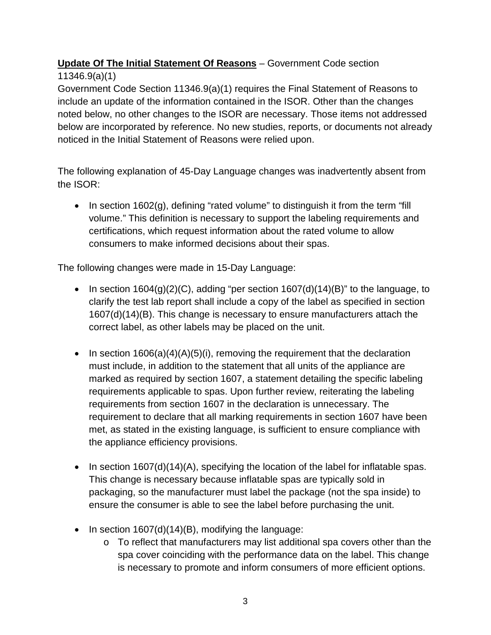# **Update Of The Initial Statement Of Reasons** – Government Code section

## 11346.9(a)(1)

Government Code Section 11346.9(a)(1) requires the Final Statement of Reasons to include an update of the information contained in the ISOR. Other than the changes noted below, no other changes to the ISOR are necessary. Those items not addressed below are incorporated by reference. No new studies, reports, or documents not already noticed in the Initial Statement of Reasons were relied upon.

The following explanation of 45-Day Language changes was inadvertently absent from the ISOR:

• In section 1602(g), defining "rated volume" to distinguish it from the term "fill volume." This definition is necessary to support the labeling requirements and certifications, which request information about the rated volume to allow consumers to make informed decisions about their spas.

The following changes were made in 15-Day Language:

- In section  $1604(g)(2)(C)$ , adding "per section  $1607(d)(14)(B)$ " to the language, to clarify the test lab report shall include a copy of the label as specified in section 1607(d)(14)(B). This change is necessary to ensure manufacturers attach the correct label, as other labels may be placed on the unit.
- In section  $1606(a)(4)(A)(5)(i)$ , removing the requirement that the declaration must include, in addition to the statement that all units of the appliance are marked as required by section 1607, a statement detailing the specific labeling requirements applicable to spas. Upon further review, reiterating the labeling requirements from section 1607 in the declaration is unnecessary. The requirement to declare that all marking requirements in section 1607 have been met, as stated in the existing language, is sufficient to ensure compliance with the appliance efficiency provisions.
- In section 1607(d)(14)(A), specifying the location of the label for inflatable spas. This change is necessary because inflatable spas are typically sold in packaging, so the manufacturer must label the package (not the spa inside) to ensure the consumer is able to see the label before purchasing the unit.
- In section 1607(d)(14)(B), modifying the language:
	- o To reflect that manufacturers may list additional spa covers other than the spa cover coinciding with the performance data on the label. This change is necessary to promote and inform consumers of more efficient options.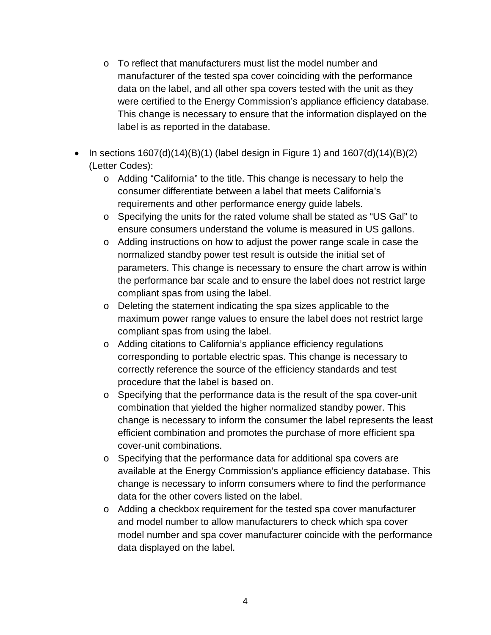- o To reflect that manufacturers must list the model number and manufacturer of the tested spa cover coinciding with the performance data on the label, and all other spa covers tested with the unit as they were certified to the Energy Commission's appliance efficiency database. This change is necessary to ensure that the information displayed on the label is as reported in the database.
- In sections  $1607(d)(14)(B)(1)$  (label design in Figure 1) and  $1607(d)(14)(B)(2)$ (Letter Codes):
	- o Adding "California" to the title. This change is necessary to help the consumer differentiate between a label that meets California's requirements and other performance energy guide labels.
	- o Specifying the units for the rated volume shall be stated as "US Gal" to ensure consumers understand the volume is measured in US gallons.
	- o Adding instructions on how to adjust the power range scale in case the normalized standby power test result is outside the initial set of parameters. This change is necessary to ensure the chart arrow is within the performance bar scale and to ensure the label does not restrict large compliant spas from using the label.
	- o Deleting the statement indicating the spa sizes applicable to the maximum power range values to ensure the label does not restrict large compliant spas from using the label.
	- o Adding citations to California's appliance efficiency regulations corresponding to portable electric spas. This change is necessary to correctly reference the source of the efficiency standards and test procedure that the label is based on.
	- o Specifying that the performance data is the result of the spa cover-unit combination that yielded the higher normalized standby power. This change is necessary to inform the consumer the label represents the least efficient combination and promotes the purchase of more efficient spa cover-unit combinations.
	- o Specifying that the performance data for additional spa covers are available at the Energy Commission's appliance efficiency database. This change is necessary to inform consumers where to find the performance data for the other covers listed on the label.
	- o Adding a checkbox requirement for the tested spa cover manufacturer and model number to allow manufacturers to check which spa cover model number and spa cover manufacturer coincide with the performance data displayed on the label.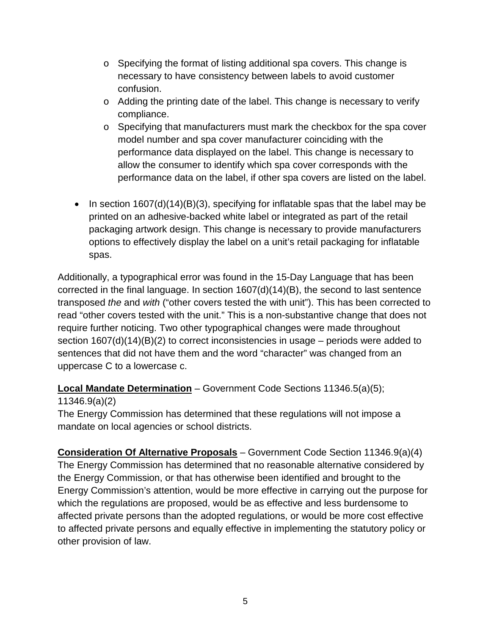- o Specifying the format of listing additional spa covers. This change is necessary to have consistency between labels to avoid customer confusion.
- o Adding the printing date of the label. This change is necessary to verify compliance.
- o Specifying that manufacturers must mark the checkbox for the spa cover model number and spa cover manufacturer coinciding with the performance data displayed on the label. This change is necessary to allow the consumer to identify which spa cover corresponds with the performance data on the label, if other spa covers are listed on the label.
- In section  $1607(d)(14)(B)(3)$ , specifying for inflatable spas that the label may be printed on an adhesive-backed white label or integrated as part of the retail packaging artwork design. This change is necessary to provide manufacturers options to effectively display the label on a unit's retail packaging for inflatable spas.

Additionally, a typographical error was found in the 15-Day Language that has been corrected in the final language. In section 1607(d)(14)(B), the second to last sentence transposed *the* and *with* ("other covers tested the with unit"). This has been corrected to read "other covers tested with the unit." This is a non-substantive change that does not require further noticing. Two other typographical changes were made throughout section 1607(d)(14)(B)(2) to correct inconsistencies in usage – periods were added to sentences that did not have them and the word "character" was changed from an uppercase C to a lowercase c.

**Local Mandate Determination** – Government Code Sections 11346.5(a)(5);

11346.9(a)(2)

The Energy Commission has determined that these regulations will not impose a mandate on local agencies or school districts.

**Consideration Of Alternative Proposals** – Government Code Section 11346.9(a)(4) The Energy Commission has determined that no reasonable alternative considered by the Energy Commission, or that has otherwise been identified and brought to the Energy Commission's attention, would be more effective in carrying out the purpose for which the regulations are proposed, would be as effective and less burdensome to affected private persons than the adopted regulations, or would be more cost effective to affected private persons and equally effective in implementing the statutory policy or other provision of law.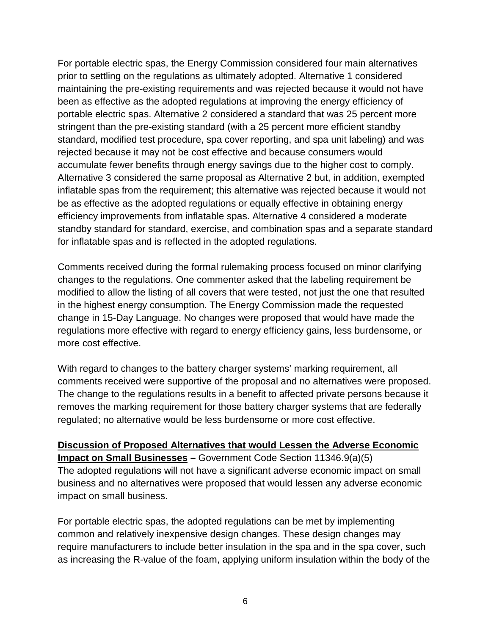For portable electric spas, the Energy Commission considered four main alternatives prior to settling on the regulations as ultimately adopted. Alternative 1 considered maintaining the pre-existing requirements and was rejected because it would not have been as effective as the adopted regulations at improving the energy efficiency of portable electric spas. Alternative 2 considered a standard that was 25 percent more stringent than the pre-existing standard (with a 25 percent more efficient standby standard, modified test procedure, spa cover reporting, and spa unit labeling) and was rejected because it may not be cost effective and because consumers would accumulate fewer benefits through energy savings due to the higher cost to comply. Alternative 3 considered the same proposal as Alternative 2 but, in addition, exempted inflatable spas from the requirement; this alternative was rejected because it would not be as effective as the adopted regulations or equally effective in obtaining energy efficiency improvements from inflatable spas. Alternative 4 considered a moderate standby standard for standard, exercise, and combination spas and a separate standard for inflatable spas and is reflected in the adopted regulations.

Comments received during the formal rulemaking process focused on minor clarifying changes to the regulations. One commenter asked that the labeling requirement be modified to allow the listing of all covers that were tested, not just the one that resulted in the highest energy consumption. The Energy Commission made the requested change in 15-Day Language. No changes were proposed that would have made the regulations more effective with regard to energy efficiency gains, less burdensome, or more cost effective.

With regard to changes to the battery charger systems' marking requirement, all comments received were supportive of the proposal and no alternatives were proposed. The change to the regulations results in a benefit to affected private persons because it removes the marking requirement for those battery charger systems that are federally regulated; no alternative would be less burdensome or more cost effective.

**Discussion of Proposed Alternatives that would Lessen the Adverse Economic Impact on Small Businesses –** Government Code Section 11346.9(a)(5) The adopted regulations will not have a significant adverse economic impact on small business and no alternatives were proposed that would lessen any adverse economic impact on small business.

For portable electric spas, the adopted regulations can be met by implementing common and relatively inexpensive design changes. These design changes may require manufacturers to include better insulation in the spa and in the spa cover, such as increasing the R-value of the foam, applying uniform insulation within the body of the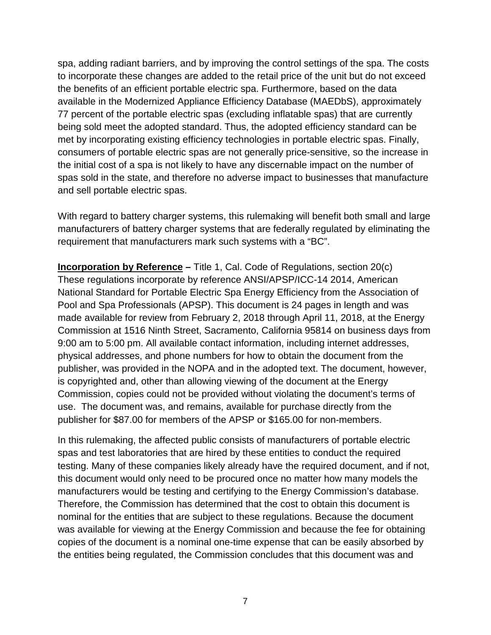spa, adding radiant barriers, and by improving the control settings of the spa. The costs to incorporate these changes are added to the retail price of the unit but do not exceed the benefits of an efficient portable electric spa. Furthermore, based on the data available in the Modernized Appliance Efficiency Database (MAEDbS), approximately 77 percent of the portable electric spas (excluding inflatable spas) that are currently being sold meet the adopted standard. Thus, the adopted efficiency standard can be met by incorporating existing efficiency technologies in portable electric spas. Finally, consumers of portable electric spas are not generally price-sensitive, so the increase in the initial cost of a spa is not likely to have any discernable impact on the number of spas sold in the state, and therefore no adverse impact to businesses that manufacture and sell portable electric spas.

With regard to battery charger systems, this rulemaking will benefit both small and large manufacturers of battery charger systems that are federally regulated by eliminating the requirement that manufacturers mark such systems with a "BC".

**Incorporation by Reference** – Title 1, Cal. Code of Regulations, section 20(c) These regulations incorporate by reference ANSI/APSP/ICC-14 2014, American National Standard for Portable Electric Spa Energy Efficiency from the Association of Pool and Spa Professionals (APSP). This document is 24 pages in length and was made available for review from February 2, 2018 through April 11, 2018, at the Energy Commission at 1516 Ninth Street, Sacramento, California 95814 on business days from 9:00 am to 5:00 pm. All available contact information, including internet addresses, physical addresses, and phone numbers for how to obtain the document from the publisher, was provided in the NOPA and in the adopted text. The document, however, is copyrighted and, other than allowing viewing of the document at the Energy Commission, copies could not be provided without violating the document's terms of use. The document was, and remains, available for purchase directly from the publisher for \$87.00 for members of the APSP or \$165.00 for non-members.

In this rulemaking, the affected public consists of manufacturers of portable electric spas and test laboratories that are hired by these entities to conduct the required testing. Many of these companies likely already have the required document, and if not, this document would only need to be procured once no matter how many models the manufacturers would be testing and certifying to the Energy Commission's database. Therefore, the Commission has determined that the cost to obtain this document is nominal for the entities that are subject to these regulations. Because the document was available for viewing at the Energy Commission and because the fee for obtaining copies of the document is a nominal one-time expense that can be easily absorbed by the entities being regulated, the Commission concludes that this document was and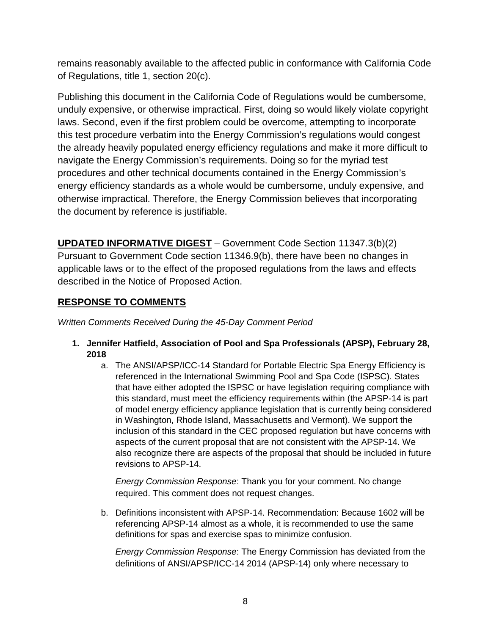remains reasonably available to the affected public in conformance with California Code of Regulations, title 1, section 20(c).

Publishing this document in the California Code of Regulations would be cumbersome, unduly expensive, or otherwise impractical. First, doing so would likely violate copyright laws. Second, even if the first problem could be overcome, attempting to incorporate this test procedure verbatim into the Energy Commission's regulations would congest the already heavily populated energy efficiency regulations and make it more difficult to navigate the Energy Commission's requirements. Doing so for the myriad test procedures and other technical documents contained in the Energy Commission's energy efficiency standards as a whole would be cumbersome, unduly expensive, and otherwise impractical. Therefore, the Energy Commission believes that incorporating the document by reference is justifiable.

**UPDATED INFORMATIVE DIGEST** – Government Code Section 11347.3(b)(2) Pursuant to Government Code section 11346.9(b), there have been no changes in applicable laws or to the effect of the proposed regulations from the laws and effects described in the Notice of Proposed Action.

## **RESPONSE TO COMMENTS**

*Written Comments Received During the 45-Day Comment Period*

- **1. Jennifer Hatfield, Association of Pool and Spa Professionals (APSP), February 28, 2018**
	- a. The ANSI/APSP/ICC-14 Standard for Portable Electric Spa Energy Efficiency is referenced in the International Swimming Pool and Spa Code (ISPSC). States that have either adopted the ISPSC or have legislation requiring compliance with this standard, must meet the efficiency requirements within (the APSP-14 is part of model energy efficiency appliance legislation that is currently being considered in Washington, Rhode Island, Massachusetts and Vermont). We support the inclusion of this standard in the CEC proposed regulation but have concerns with aspects of the current proposal that are not consistent with the APSP-14. We also recognize there are aspects of the proposal that should be included in future revisions to APSP-14.

*Energy Commission Response*: Thank you for your comment. No change required. This comment does not request changes.

b. Definitions inconsistent with APSP-14. Recommendation: Because 1602 will be referencing APSP-14 almost as a whole, it is recommended to use the same definitions for spas and exercise spas to minimize confusion.

*Energy Commission Response*: The Energy Commission has deviated from the definitions of ANSI/APSP/ICC-14 2014 (APSP-14) only where necessary to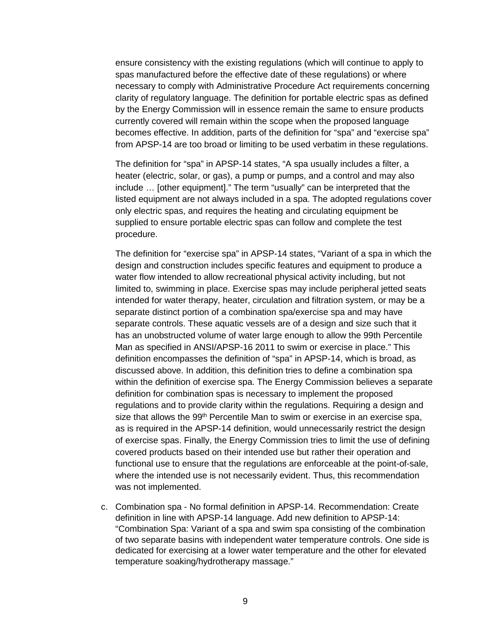ensure consistency with the existing regulations (which will continue to apply to spas manufactured before the effective date of these regulations) or where necessary to comply with Administrative Procedure Act requirements concerning clarity of regulatory language. The definition for portable electric spas as defined by the Energy Commission will in essence remain the same to ensure products currently covered will remain within the scope when the proposed language becomes effective. In addition, parts of the definition for "spa" and "exercise spa" from APSP-14 are too broad or limiting to be used verbatim in these regulations.

The definition for "spa" in APSP-14 states, "A spa usually includes a filter, a heater (electric, solar, or gas), a pump or pumps, and a control and may also include … [other equipment]." The term "usually" can be interpreted that the listed equipment are not always included in a spa. The adopted regulations cover only electric spas, and requires the heating and circulating equipment be supplied to ensure portable electric spas can follow and complete the test procedure.

The definition for "exercise spa" in APSP-14 states, "Variant of a spa in which the design and construction includes specific features and equipment to produce a water flow intended to allow recreational physical activity including, but not limited to, swimming in place. Exercise spas may include peripheral jetted seats intended for water therapy, heater, circulation and filtration system, or may be a separate distinct portion of a combination spa/exercise spa and may have separate controls. These aquatic vessels are of a design and size such that it has an unobstructed volume of water large enough to allow the 99th Percentile Man as specified in ANSI/APSP-16 2011 to swim or exercise in place." This definition encompasses the definition of "spa" in APSP-14, which is broad, as discussed above. In addition, this definition tries to define a combination spa within the definition of exercise spa. The Energy Commission believes a separate definition for combination spas is necessary to implement the proposed regulations and to provide clarity within the regulations. Requiring a design and size that allows the 99<sup>th</sup> Percentile Man to swim or exercise in an exercise spa, as is required in the APSP-14 definition, would unnecessarily restrict the design of exercise spas. Finally, the Energy Commission tries to limit the use of defining covered products based on their intended use but rather their operation and functional use to ensure that the regulations are enforceable at the point-of-sale, where the intended use is not necessarily evident. Thus, this recommendation was not implemented.

c. Combination spa - No formal definition in APSP-14. Recommendation: Create definition in line with APSP-14 language. Add new definition to APSP-14: "Combination Spa: Variant of a spa and swim spa consisting of the combination of two separate basins with independent water temperature controls. One side is dedicated for exercising at a lower water temperature and the other for elevated temperature soaking/hydrotherapy massage."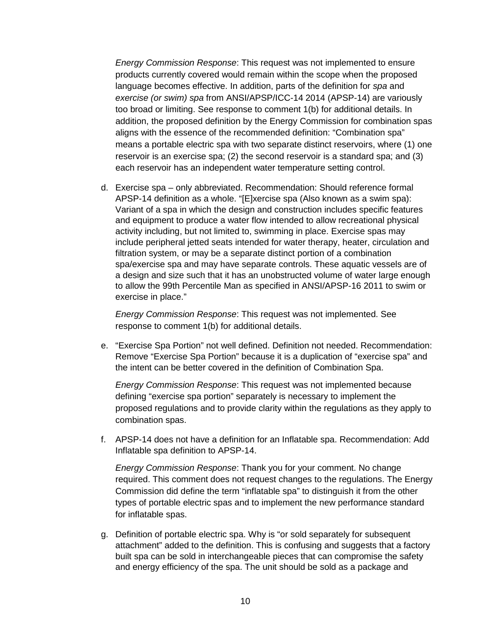*Energy Commission Response*: This request was not implemented to ensure products currently covered would remain within the scope when the proposed language becomes effective. In addition, parts of the definition for *spa* and *exercise (or swim) spa* from ANSI/APSP/ICC-14 2014 (APSP-14) are variously too broad or limiting. See response to comment 1(b) for additional details. In addition, the proposed definition by the Energy Commission for combination spas aligns with the essence of the recommended definition: "Combination spa" means a portable electric spa with two separate distinct reservoirs, where (1) one reservoir is an exercise spa; (2) the second reservoir is a standard spa; and (3) each reservoir has an independent water temperature setting control.

d. Exercise spa – only abbreviated. Recommendation: Should reference formal APSP-14 definition as a whole. "[E]xercise spa (Also known as a swim spa): Variant of a spa in which the design and construction includes specific features and equipment to produce a water flow intended to allow recreational physical activity including, but not limited to, swimming in place. Exercise spas may include peripheral jetted seats intended for water therapy, heater, circulation and filtration system, or may be a separate distinct portion of a combination spa/exercise spa and may have separate controls. These aquatic vessels are of a design and size such that it has an unobstructed volume of water large enough to allow the 99th Percentile Man as specified in ANSI/APSP-16 2011 to swim or exercise in place."

*Energy Commission Response*: This request was not implemented. See response to comment 1(b) for additional details.

e. "Exercise Spa Portion" not well defined. Definition not needed. Recommendation: Remove "Exercise Spa Portion" because it is a duplication of "exercise spa" and the intent can be better covered in the definition of Combination Spa.

*Energy Commission Response*: This request was not implemented because defining "exercise spa portion" separately is necessary to implement the proposed regulations and to provide clarity within the regulations as they apply to combination spas.

f. APSP-14 does not have a definition for an Inflatable spa. Recommendation: Add Inflatable spa definition to APSP-14.

*Energy Commission Response*: Thank you for your comment. No change required. This comment does not request changes to the regulations. The Energy Commission did define the term "inflatable spa" to distinguish it from the other types of portable electric spas and to implement the new performance standard for inflatable spas.

g. Definition of portable electric spa. Why is "or sold separately for subsequent attachment" added to the definition. This is confusing and suggests that a factory built spa can be sold in interchangeable pieces that can compromise the safety and energy efficiency of the spa. The unit should be sold as a package and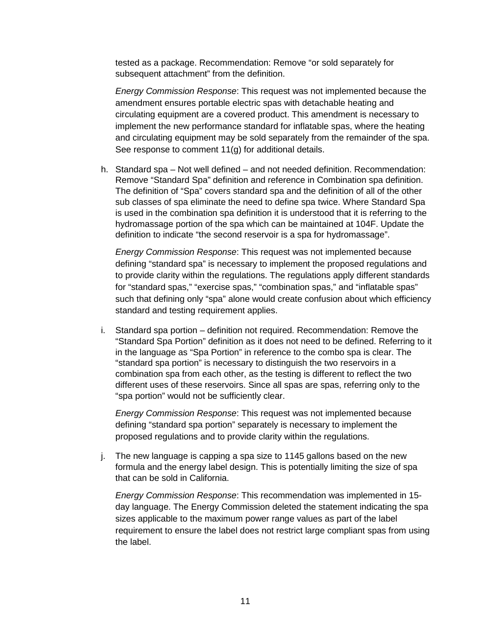tested as a package. Recommendation: Remove "or sold separately for subsequent attachment" from the definition.

*Energy Commission Response*: This request was not implemented because the amendment ensures portable electric spas with detachable heating and circulating equipment are a covered product. This amendment is necessary to implement the new performance standard for inflatable spas, where the heating and circulating equipment may be sold separately from the remainder of the spa. See response to comment 11(g) for additional details.

h. Standard spa – Not well defined – and not needed definition. Recommendation: Remove "Standard Spa" definition and reference in Combination spa definition. The definition of "Spa" covers standard spa and the definition of all of the other sub classes of spa eliminate the need to define spa twice. Where Standard Spa is used in the combination spa definition it is understood that it is referring to the hydromassage portion of the spa which can be maintained at 104F. Update the definition to indicate "the second reservoir is a spa for hydromassage".

*Energy Commission Response*: This request was not implemented because defining "standard spa" is necessary to implement the proposed regulations and to provide clarity within the regulations. The regulations apply different standards for "standard spas," "exercise spas," "combination spas," and "inflatable spas" such that defining only "spa" alone would create confusion about which efficiency standard and testing requirement applies.

i. Standard spa portion – definition not required. Recommendation: Remove the "Standard Spa Portion" definition as it does not need to be defined. Referring to it in the language as "Spa Portion" in reference to the combo spa is clear. The "standard spa portion" is necessary to distinguish the two reservoirs in a combination spa from each other, as the testing is different to reflect the two different uses of these reservoirs. Since all spas are spas, referring only to the "spa portion" would not be sufficiently clear.

*Energy Commission Response*: This request was not implemented because defining "standard spa portion" separately is necessary to implement the proposed regulations and to provide clarity within the regulations.

j. The new language is capping a spa size to 1145 gallons based on the new formula and the energy label design. This is potentially limiting the size of spa that can be sold in California.

*Energy Commission Response*: This recommendation was implemented in 15 day language. The Energy Commission deleted the statement indicating the spa sizes applicable to the maximum power range values as part of the label requirement to ensure the label does not restrict large compliant spas from using the label.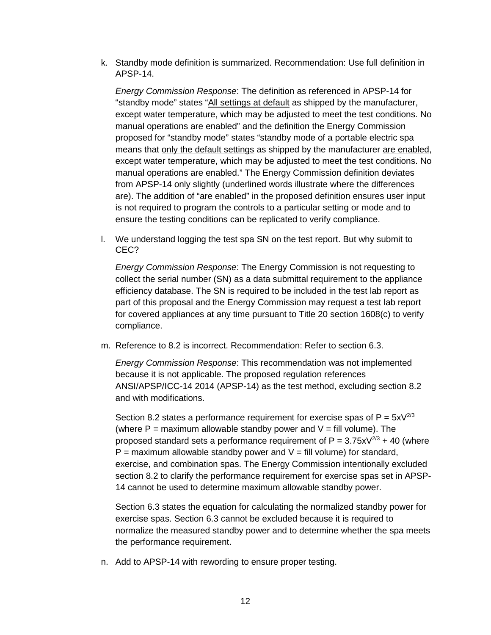k. Standby mode definition is summarized. Recommendation: Use full definition in APSP-14.

*Energy Commission Response*: The definition as referenced in APSP-14 for "standby mode" states "All settings at default as shipped by the manufacturer, except water temperature, which may be adjusted to meet the test conditions. No manual operations are enabled" and the definition the Energy Commission proposed for "standby mode" states "standby mode of a portable electric spa means that only the default settings as shipped by the manufacturer are enabled, except water temperature, which may be adjusted to meet the test conditions. No manual operations are enabled." The Energy Commission definition deviates from APSP-14 only slightly (underlined words illustrate where the differences are). The addition of "are enabled" in the proposed definition ensures user input is not required to program the controls to a particular setting or mode and to ensure the testing conditions can be replicated to verify compliance.

l. We understand logging the test spa SN on the test report. But why submit to CEC?

*Energy Commission Response*: The Energy Commission is not requesting to collect the serial number (SN) as a data submittal requirement to the appliance efficiency database. The SN is required to be included in the test lab report as part of this proposal and the Energy Commission may request a test lab report for covered appliances at any time pursuant to Title 20 section 1608(c) to verify compliance.

m. Reference to 8.2 is incorrect. Recommendation: Refer to section 6.3.

*Energy Commission Response*: This recommendation was not implemented because it is not applicable. The proposed regulation references ANSI/APSP/ICC-14 2014 (APSP-14) as the test method, excluding section 8.2 and with modifications.

Section 8.2 states a performance requirement for exercise spas of  $P = 5xV^{2/3}$ (where  $P =$  maximum allowable standby power and  $V =$  fill volume). The proposed standard sets a performance requirement of  $P = 3.75xV^{2/3} + 40$  (where  $P =$  maximum allowable standby power and  $V =$  fill volume) for standard, exercise, and combination spas. The Energy Commission intentionally excluded section 8.2 to clarify the performance requirement for exercise spas set in APSP-14 cannot be used to determine maximum allowable standby power.

Section 6.3 states the equation for calculating the normalized standby power for exercise spas. Section 6.3 cannot be excluded because it is required to normalize the measured standby power and to determine whether the spa meets the performance requirement.

n. Add to APSP-14 with rewording to ensure proper testing.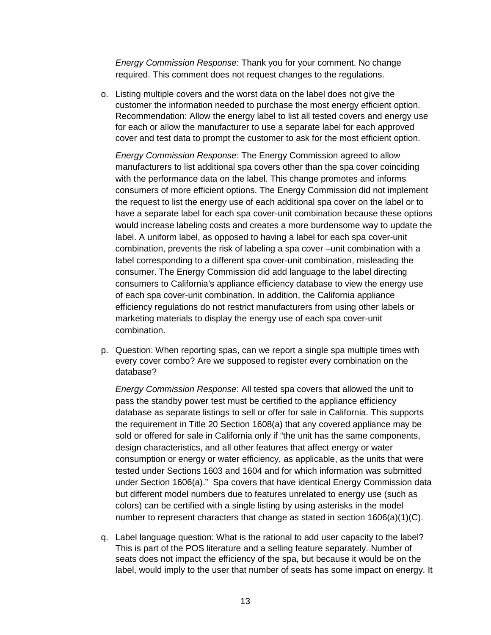*Energy Commission Response*: Thank you for your comment. No change required. This comment does not request changes to the regulations.

o. Listing multiple covers and the worst data on the label does not give the customer the information needed to purchase the most energy efficient option. Recommendation: Allow the energy label to list all tested covers and energy use for each or allow the manufacturer to use a separate label for each approved cover and test data to prompt the customer to ask for the most efficient option.

*Energy Commission Response*: The Energy Commission agreed to allow manufacturers to list additional spa covers other than the spa cover coinciding with the performance data on the label. This change promotes and informs consumers of more efficient options. The Energy Commission did not implement the request to list the energy use of each additional spa cover on the label or to have a separate label for each spa cover-unit combination because these options would increase labeling costs and creates a more burdensome way to update the label. A uniform label, as opposed to having a label for each spa cover-unit combination, prevents the risk of labeling a spa cover –unit combination with a label corresponding to a different spa cover-unit combination, misleading the consumer. The Energy Commission did add language to the label directing consumers to California's appliance efficiency database to view the energy use of each spa cover-unit combination. In addition, the California appliance efficiency regulations do not restrict manufacturers from using other labels or marketing materials to display the energy use of each spa cover-unit combination.

p. Question: When reporting spas, can we report a single spa multiple times with every cover combo? Are we supposed to register every combination on the database?

*Energy Commission Response*: All tested spa covers that allowed the unit to pass the standby power test must be certified to the appliance efficiency database as separate listings to sell or offer for sale in California. This supports the requirement in Title 20 Section 1608(a) that any covered appliance may be sold or offered for sale in California only if "the unit has the same components, design characteristics, and all other features that affect energy or water consumption or energy or water efficiency, as applicable, as the units that were tested under Sections 1603 and 1604 and for which information was submitted under Section 1606(a)." Spa covers that have identical Energy Commission data but different model numbers due to features unrelated to energy use (such as colors) can be certified with a single listing by using asterisks in the model number to represent characters that change as stated in section  $1606(a)(1)(C)$ .

q. Label language question: What is the rational to add user capacity to the label? This is part of the POS literature and a selling feature separately. Number of seats does not impact the efficiency of the spa, but because it would be on the label, would imply to the user that number of seats has some impact on energy. It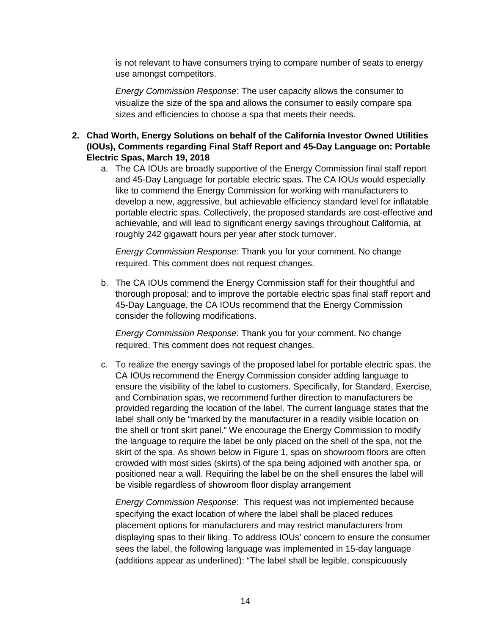is not relevant to have consumers trying to compare number of seats to energy use amongst competitors.

*Energy Commission Response*: The user capacity allows the consumer to visualize the size of the spa and allows the consumer to easily compare spa sizes and efficiencies to choose a spa that meets their needs.

- **2. Chad Worth, Energy Solutions on behalf of the California Investor Owned Utilities (IOUs), Comments regarding Final Staff Report and 45-Day Language on: Portable Electric Spas, March 19, 2018**
	- a. The CA IOUs are broadly supportive of the Energy Commission final staff report and 45-Day Language for portable electric spas. The CA IOUs would especially like to commend the Energy Commission for working with manufacturers to develop a new, aggressive, but achievable efficiency standard level for inflatable portable electric spas. Collectively, the proposed standards are cost-effective and achievable, and will lead to significant energy savings throughout California, at roughly 242 gigawatt hours per year after stock turnover.

*Energy Commission Response*: Thank you for your comment. No change required. This comment does not request changes.

b. The CA IOUs commend the Energy Commission staff for their thoughtful and thorough proposal; and to improve the portable electric spas final staff report and 45-Day Language, the CA IOUs recommend that the Energy Commission consider the following modifications.

*Energy Commission Response*: Thank you for your comment. No change required. This comment does not request changes.

c. To realize the energy savings of the proposed label for portable electric spas, the CA IOUs recommend the Energy Commission consider adding language to ensure the visibility of the label to customers. Specifically, for Standard, Exercise, and Combination spas, we recommend further direction to manufacturers be provided regarding the location of the label. The current language states that the label shall only be "marked by the manufacturer in a readily visible location on the shell or front skirt panel." We encourage the Energy Commission to modify the language to require the label be only placed on the shell of the spa, not the skirt of the spa. As shown below in Figure 1, spas on showroom floors are often crowded with most sides (skirts) of the spa being adjoined with another spa, or positioned near a wall. Requiring the label be on the shell ensures the label will be visible regardless of showroom floor display arrangement

*Energy Commission Response*: This request was not implemented because specifying the exact location of where the label shall be placed reduces placement options for manufacturers and may restrict manufacturers from displaying spas to their liking. To address IOUs' concern to ensure the consumer sees the label, the following language was implemented in 15-day language (additions appear as underlined): "The label shall be legible, conspicuously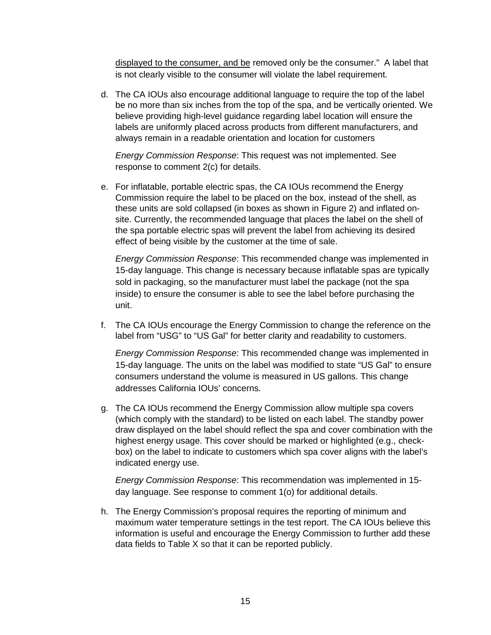displayed to the consumer, and be removed only be the consumer." A label that is not clearly visible to the consumer will violate the label requirement.

d. The CA IOUs also encourage additional language to require the top of the label be no more than six inches from the top of the spa, and be vertically oriented. We believe providing high-level guidance regarding label location will ensure the labels are uniformly placed across products from different manufacturers, and always remain in a readable orientation and location for customers

*Energy Commission Response*: This request was not implemented. See response to comment 2(c) for details.

e. For inflatable, portable electric spas, the CA IOUs recommend the Energy Commission require the label to be placed on the box, instead of the shell, as these units are sold collapsed (in boxes as shown in Figure 2) and inflated onsite. Currently, the recommended language that places the label on the shell of the spa portable electric spas will prevent the label from achieving its desired effect of being visible by the customer at the time of sale.

*Energy Commission Response*: This recommended change was implemented in 15-day language. This change is necessary because inflatable spas are typically sold in packaging, so the manufacturer must label the package (not the spa inside) to ensure the consumer is able to see the label before purchasing the unit.

f. The CA IOUs encourage the Energy Commission to change the reference on the label from "USG" to "US Gal" for better clarity and readability to customers.

*Energy Commission Response*: This recommended change was implemented in 15-day language. The units on the label was modified to state "US Gal" to ensure consumers understand the volume is measured in US gallons. This change addresses California IOUs' concerns.

g. The CA IOUs recommend the Energy Commission allow multiple spa covers (which comply with the standard) to be listed on each label. The standby power draw displayed on the label should reflect the spa and cover combination with the highest energy usage. This cover should be marked or highlighted (e.g., checkbox) on the label to indicate to customers which spa cover aligns with the label's indicated energy use.

*Energy Commission Response*: This recommendation was implemented in 15 day language. See response to comment 1(o) for additional details.

h. The Energy Commission's proposal requires the reporting of minimum and maximum water temperature settings in the test report. The CA IOUs believe this information is useful and encourage the Energy Commission to further add these data fields to Table X so that it can be reported publicly.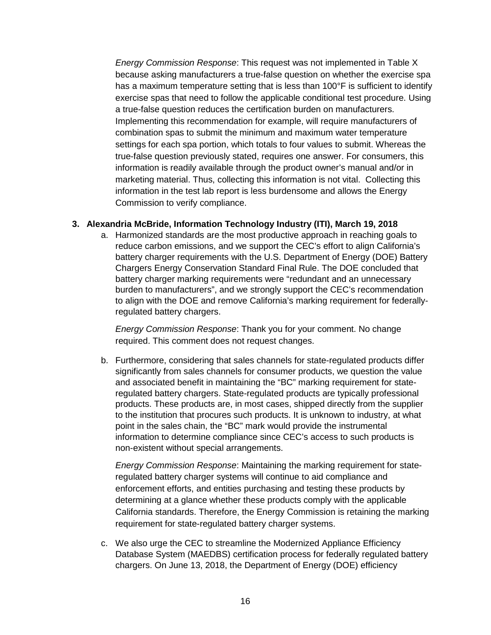*Energy Commission Response*: This request was not implemented in Table X because asking manufacturers a true-false question on whether the exercise spa has a maximum temperature setting that is less than 100°F is sufficient to identify exercise spas that need to follow the applicable conditional test procedure. Using a true-false question reduces the certification burden on manufacturers. Implementing this recommendation for example, will require manufacturers of combination spas to submit the minimum and maximum water temperature settings for each spa portion, which totals to four values to submit. Whereas the true-false question previously stated, requires one answer. For consumers, this information is readily available through the product owner's manual and/or in marketing material. Thus, collecting this information is not vital. Collecting this information in the test lab report is less burdensome and allows the Energy Commission to verify compliance.

#### **3. Alexandria McBride, Information Technology Industry (ITI), March 19, 2018**

a. Harmonized standards are the most productive approach in reaching goals to reduce carbon emissions, and we support the CEC's effort to align California's battery charger requirements with the U.S. Department of Energy (DOE) Battery Chargers Energy Conservation Standard Final Rule. The DOE concluded that battery charger marking requirements were "redundant and an unnecessary burden to manufacturers", and we strongly support the CEC's recommendation to align with the DOE and remove California's marking requirement for federallyregulated battery chargers.

*Energy Commission Response*: Thank you for your comment. No change required. This comment does not request changes.

b. Furthermore, considering that sales channels for state-regulated products differ significantly from sales channels for consumer products, we question the value and associated benefit in maintaining the "BC" marking requirement for stateregulated battery chargers. State-regulated products are typically professional products. These products are, in most cases, shipped directly from the supplier to the institution that procures such products. It is unknown to industry, at what point in the sales chain, the "BC" mark would provide the instrumental information to determine compliance since CEC's access to such products is non-existent without special arrangements.

*Energy Commission Response*: Maintaining the marking requirement for stateregulated battery charger systems will continue to aid compliance and enforcement efforts, and entities purchasing and testing these products by determining at a glance whether these products comply with the applicable California standards. Therefore, the Energy Commission is retaining the marking requirement for state-regulated battery charger systems.

c. We also urge the CEC to streamline the Modernized Appliance Efficiency Database System (MAEDBS) certification process for federally regulated battery chargers. On June 13, 2018, the Department of Energy (DOE) efficiency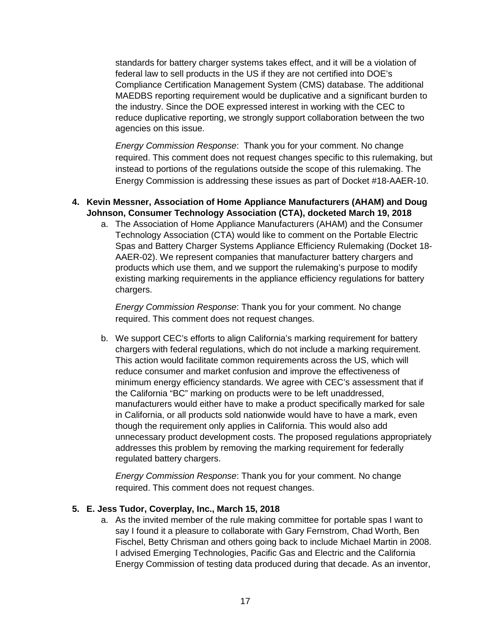standards for battery charger systems takes effect, and it will be a violation of federal law to sell products in the US if they are not certified into DOE's Compliance Certification Management System (CMS) database. The additional MAEDBS reporting requirement would be duplicative and a significant burden to the industry. Since the DOE expressed interest in working with the CEC to reduce duplicative reporting, we strongly support collaboration between the two agencies on this issue.

*Energy Commission Response*: Thank you for your comment. No change required. This comment does not request changes specific to this rulemaking, but instead to portions of the regulations outside the scope of this rulemaking. The Energy Commission is addressing these issues as part of Docket #18-AAER-10.

#### **4. Kevin Messner, Association of Home Appliance Manufacturers (AHAM) and Doug Johnson, Consumer Technology Association (CTA), docketed March 19, 2018**

a. The Association of Home Appliance Manufacturers (AHAM) and the Consumer Technology Association (CTA) would like to comment on the Portable Electric Spas and Battery Charger Systems Appliance Efficiency Rulemaking (Docket 18- AAER-02). We represent companies that manufacturer battery chargers and products which use them, and we support the rulemaking's purpose to modify existing marking requirements in the appliance efficiency regulations for battery chargers.

*Energy Commission Response*: Thank you for your comment. No change required. This comment does not request changes.

b. We support CEC's efforts to align California's marking requirement for battery chargers with federal regulations, which do not include a marking requirement. This action would facilitate common requirements across the US, which will reduce consumer and market confusion and improve the effectiveness of minimum energy efficiency standards. We agree with CEC's assessment that if the California "BC" marking on products were to be left unaddressed, manufacturers would either have to make a product specifically marked for sale in California, or all products sold nationwide would have to have a mark, even though the requirement only applies in California. This would also add unnecessary product development costs. The proposed regulations appropriately addresses this problem by removing the marking requirement for federally regulated battery chargers.

*Energy Commission Response*: Thank you for your comment. No change required. This comment does not request changes.

#### **5. E. Jess Tudor, Coverplay, Inc., March 15, 2018**

a. As the invited member of the rule making committee for portable spas I want to say I found it a pleasure to collaborate with Gary Fernstrom, Chad Worth, Ben Fischel, Betty Chrisman and others going back to include Michael Martin in 2008. I advised Emerging Technologies, Pacific Gas and Electric and the California Energy Commission of testing data produced during that decade. As an inventor,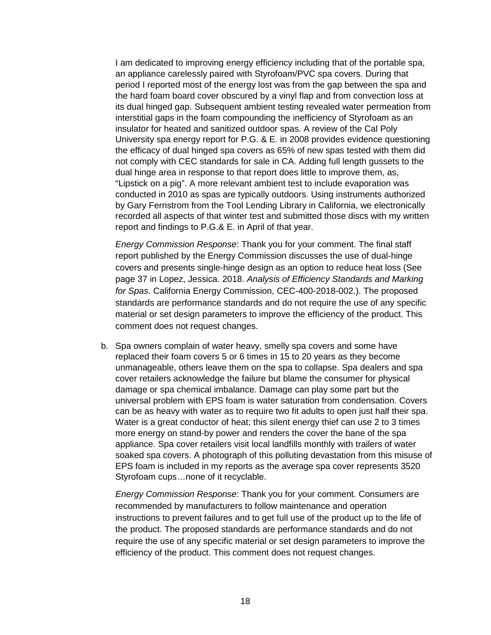I am dedicated to improving energy efficiency including that of the portable spa, an appliance carelessly paired with Styrofoam/PVC spa covers. During that period I reported most of the energy lost was from the gap between the spa and the hard foam board cover obscured by a vinyl flap and from convection loss at its dual hinged gap. Subsequent ambient testing revealed water permeation from interstitial gaps in the foam compounding the inefficiency of Styrofoam as an insulator for heated and sanitized outdoor spas. A review of the Cal Poly University spa energy report for P.G. & E. in 2008 provides evidence questioning the efficacy of dual hinged spa covers as 65% of new spas tested with them did not comply with CEC standards for sale in CA. Adding full length gussets to the dual hinge area in response to that report does little to improve them, as, "Lipstick on a pig". A more relevant ambient test to include evaporation was conducted in 2010 as spas are typically outdoors. Using instruments authorized by Gary Fernstrom from the Tool Lending Library in California, we electronically recorded all aspects of that winter test and submitted those discs with my written report and findings to P.G.& E. in April of that year.

*Energy Commission Response*: Thank you for your comment. The final staff report published by the Energy Commission discusses the use of dual-hinge covers and presents single-hinge design as an option to reduce heat loss (See page 37 in Lopez, Jessica. 2018. *Analysis of Efficiency Standards and Marking for Spas*. California Energy Commission, CEC-400-2018-002.). The proposed standards are performance standards and do not require the use of any specific material or set design parameters to improve the efficiency of the product. This comment does not request changes.

b. Spa owners complain of water heavy, smelly spa covers and some have replaced their foam covers 5 or 6 times in 15 to 20 years as they become unmanageable, others leave them on the spa to collapse. Spa dealers and spa cover retailers acknowledge the failure but blame the consumer for physical damage or spa chemical imbalance. Damage can play some part but the universal problem with EPS foam is water saturation from condensation. Covers can be as heavy with water as to require two fit adults to open just half their spa. Water is a great conductor of heat; this silent energy thief can use 2 to 3 times more energy on stand-by power and renders the cover the bane of the spa appliance. Spa cover retailers visit local landfills monthly with trailers of water soaked spa covers. A photograph of this polluting devastation from this misuse of EPS foam is included in my reports as the average spa cover represents 3520 Styrofoam cups…none of it recyclable.

*Energy Commission Response*: Thank you for your comment. Consumers are recommended by manufacturers to follow maintenance and operation instructions to prevent failures and to get full use of the product up to the life of the product. The proposed standards are performance standards and do not require the use of any specific material or set design parameters to improve the efficiency of the product. This comment does not request changes.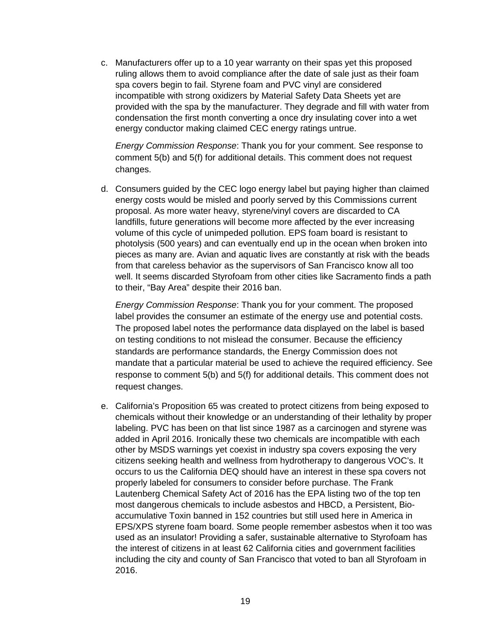c. Manufacturers offer up to a 10 year warranty on their spas yet this proposed ruling allows them to avoid compliance after the date of sale just as their foam spa covers begin to fail. Styrene foam and PVC vinyl are considered incompatible with strong oxidizers by Material Safety Data Sheets yet are provided with the spa by the manufacturer. They degrade and fill with water from condensation the first month converting a once dry insulating cover into a wet energy conductor making claimed CEC energy ratings untrue.

*Energy Commission Response*: Thank you for your comment. See response to comment 5(b) and 5(f) for additional details. This comment does not request changes.

d. Consumers guided by the CEC logo energy label but paying higher than claimed energy costs would be misled and poorly served by this Commissions current proposal. As more water heavy, styrene/vinyl covers are discarded to CA landfills, future generations will become more affected by the ever increasing volume of this cycle of unimpeded pollution. EPS foam board is resistant to photolysis (500 years) and can eventually end up in the ocean when broken into pieces as many are. Avian and aquatic lives are constantly at risk with the beads from that careless behavior as the supervisors of San Francisco know all too well. It seems discarded Styrofoam from other cities like Sacramento finds a path to their, "Bay Area" despite their 2016 ban.

*Energy Commission Response*: Thank you for your comment. The proposed label provides the consumer an estimate of the energy use and potential costs. The proposed label notes the performance data displayed on the label is based on testing conditions to not mislead the consumer. Because the efficiency standards are performance standards, the Energy Commission does not mandate that a particular material be used to achieve the required efficiency. See response to comment 5(b) and 5(f) for additional details. This comment does not request changes.

e. California's Proposition 65 was created to protect citizens from being exposed to chemicals without their knowledge or an understanding of their lethality by proper labeling. PVC has been on that list since 1987 as a carcinogen and styrene was added in April 2016. Ironically these two chemicals are incompatible with each other by MSDS warnings yet coexist in industry spa covers exposing the very citizens seeking health and wellness from hydrotherapy to dangerous VOC's. It occurs to us the California DEQ should have an interest in these spa covers not properly labeled for consumers to consider before purchase. The Frank Lautenberg Chemical Safety Act of 2016 has the EPA listing two of the top ten most dangerous chemicals to include asbestos and HBCD, a Persistent, Bioaccumulative Toxin banned in 152 countries but still used here in America in EPS/XPS styrene foam board. Some people remember asbestos when it too was used as an insulator! Providing a safer, sustainable alternative to Styrofoam has the interest of citizens in at least 62 California cities and government facilities including the city and county of San Francisco that voted to ban all Styrofoam in 2016.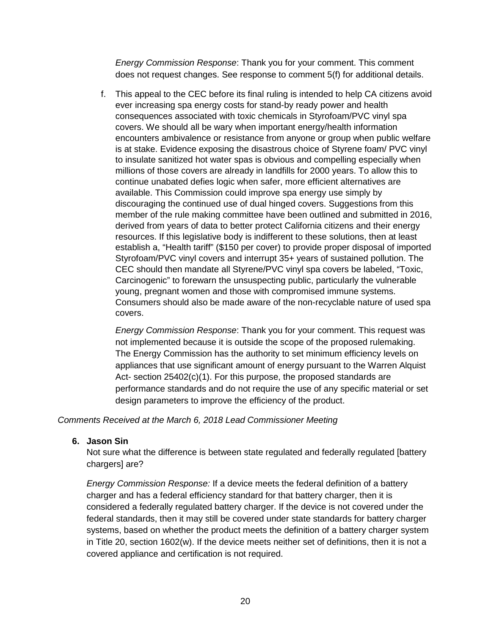*Energy Commission Response*: Thank you for your comment. This comment does not request changes. See response to comment 5(f) for additional details.

f. This appeal to the CEC before its final ruling is intended to help CA citizens avoid ever increasing spa energy costs for stand-by ready power and health consequences associated with toxic chemicals in Styrofoam/PVC vinyl spa covers. We should all be wary when important energy/health information encounters ambivalence or resistance from anyone or group when public welfare is at stake. Evidence exposing the disastrous choice of Styrene foam/ PVC vinyl to insulate sanitized hot water spas is obvious and compelling especially when millions of those covers are already in landfills for 2000 years. To allow this to continue unabated defies logic when safer, more efficient alternatives are available. This Commission could improve spa energy use simply by discouraging the continued use of dual hinged covers. Suggestions from this member of the rule making committee have been outlined and submitted in 2016, derived from years of data to better protect California citizens and their energy resources. If this legislative body is indifferent to these solutions, then at least establish a, "Health tariff" (\$150 per cover) to provide proper disposal of imported Styrofoam/PVC vinyl covers and interrupt 35+ years of sustained pollution. The CEC should then mandate all Styrene/PVC vinyl spa covers be labeled, "Toxic, Carcinogenic" to forewarn the unsuspecting public, particularly the vulnerable young, pregnant women and those with compromised immune systems. Consumers should also be made aware of the non-recyclable nature of used spa covers.

*Energy Commission Response*: Thank you for your comment. This request was not implemented because it is outside the scope of the proposed rulemaking. The Energy Commission has the authority to set minimum efficiency levels on appliances that use significant amount of energy pursuant to the Warren Alquist Act- section 25402(c)(1). For this purpose, the proposed standards are performance standards and do not require the use of any specific material or set design parameters to improve the efficiency of the product.

#### *Comments Received at the March 6, 2018 Lead Commissioner Meeting*

#### **6. Jason Sin**

Not sure what the difference is between state regulated and federally regulated [battery chargers] are?

*Energy Commission Response:* If a device meets the federal definition of a battery charger and has a federal efficiency standard for that battery charger, then it is considered a federally regulated battery charger. If the device is not covered under the federal standards, then it may still be covered under state standards for battery charger systems, based on whether the product meets the definition of a battery charger system in Title 20, section 1602(w). If the device meets neither set of definitions, then it is not a covered appliance and certification is not required.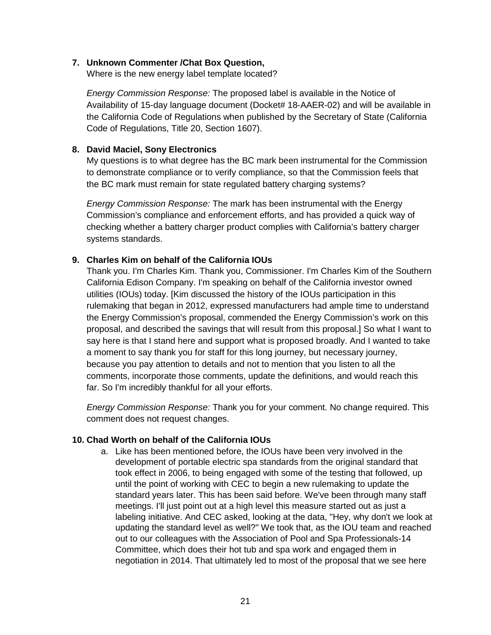#### **7. Unknown Commenter /Chat Box Question,**

Where is the new energy label template located?

*Energy Commission Response:* The proposed label is available in the Notice of Availability of 15-day language document (Docket# 18-AAER-02) and will be available in the California Code of Regulations when published by the Secretary of State (California Code of Regulations, Title 20, Section 1607).

#### **8. David Maciel, Sony Electronics**

My questions is to what degree has the BC mark been instrumental for the Commission to demonstrate compliance or to verify compliance, so that the Commission feels that the BC mark must remain for state regulated battery charging systems?

*Energy Commission Response:* The mark has been instrumental with the Energy Commission's compliance and enforcement efforts, and has provided a quick way of checking whether a battery charger product complies with California's battery charger systems standards.

#### **9. Charles Kim on behalf of the California IOUs**

Thank you. I'm Charles Kim. Thank you, Commissioner. I'm Charles Kim of the Southern California Edison Company. I'm speaking on behalf of the California investor owned utilities (IOUs) today. [Kim discussed the history of the IOUs participation in this rulemaking that began in 2012, expressed manufacturers had ample time to understand the Energy Commission's proposal, commended the Energy Commission's work on this proposal, and described the savings that will result from this proposal.] So what I want to say here is that I stand here and support what is proposed broadly. And I wanted to take a moment to say thank you for staff for this long journey, but necessary journey, because you pay attention to details and not to mention that you listen to all the comments, incorporate those comments, update the definitions, and would reach this far. So I'm incredibly thankful for all your efforts.

*Energy Commission Response:* Thank you for your comment. No change required. This comment does not request changes.

#### **10. Chad Worth on behalf of the California IOUs**

a. Like has been mentioned before, the IOUs have been very involved in the development of portable electric spa standards from the original standard that took effect in 2006, to being engaged with some of the testing that followed, up until the point of working with CEC to begin a new rulemaking to update the standard years later. This has been said before. We've been through many staff meetings. I'll just point out at a high level this measure started out as just a labeling initiative. And CEC asked, looking at the data, "Hey, why don't we look at updating the standard level as well?" We took that, as the IOU team and reached out to our colleagues with the Association of Pool and Spa Professionals-14 Committee, which does their hot tub and spa work and engaged them in negotiation in 2014. That ultimately led to most of the proposal that we see here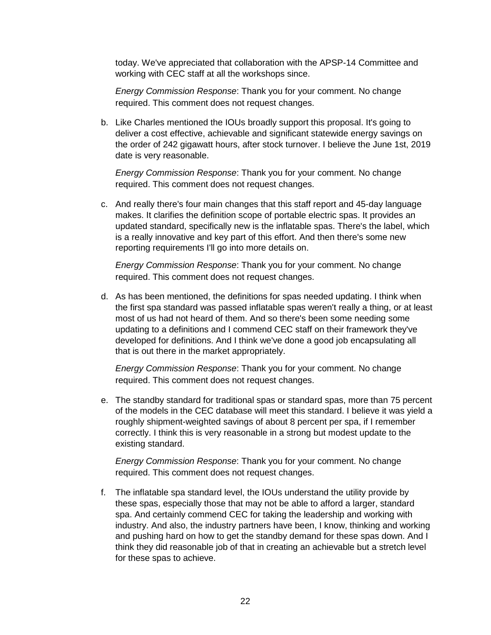today. We've appreciated that collaboration with the APSP-14 Committee and working with CEC staff at all the workshops since.

*Energy Commission Response*: Thank you for your comment. No change required. This comment does not request changes.

b. Like Charles mentioned the IOUs broadly support this proposal. It's going to deliver a cost effective, achievable and significant statewide energy savings on the order of 242 gigawatt hours, after stock turnover. I believe the June 1st, 2019 date is very reasonable.

*Energy Commission Response*: Thank you for your comment. No change required. This comment does not request changes.

c. And really there's four main changes that this staff report and 45-day language makes. It clarifies the definition scope of portable electric spas. It provides an updated standard, specifically new is the inflatable spas. There's the label, which is a really innovative and key part of this effort. And then there's some new reporting requirements I'll go into more details on.

*Energy Commission Response*: Thank you for your comment. No change required. This comment does not request changes.

d. As has been mentioned, the definitions for spas needed updating. I think when the first spa standard was passed inflatable spas weren't really a thing, or at least most of us had not heard of them. And so there's been some needing some updating to a definitions and I commend CEC staff on their framework they've developed for definitions. And I think we've done a good job encapsulating all that is out there in the market appropriately.

*Energy Commission Response*: Thank you for your comment. No change required. This comment does not request changes.

e. The standby standard for traditional spas or standard spas, more than 75 percent of the models in the CEC database will meet this standard. I believe it was yield a roughly shipment-weighted savings of about 8 percent per spa, if I remember correctly. I think this is very reasonable in a strong but modest update to the existing standard.

*Energy Commission Response*: Thank you for your comment. No change required. This comment does not request changes.

f. The inflatable spa standard level, the IOUs understand the utility provide by these spas, especially those that may not be able to afford a larger, standard spa. And certainly commend CEC for taking the leadership and working with industry. And also, the industry partners have been, I know, thinking and working and pushing hard on how to get the standby demand for these spas down. And I think they did reasonable job of that in creating an achievable but a stretch level for these spas to achieve.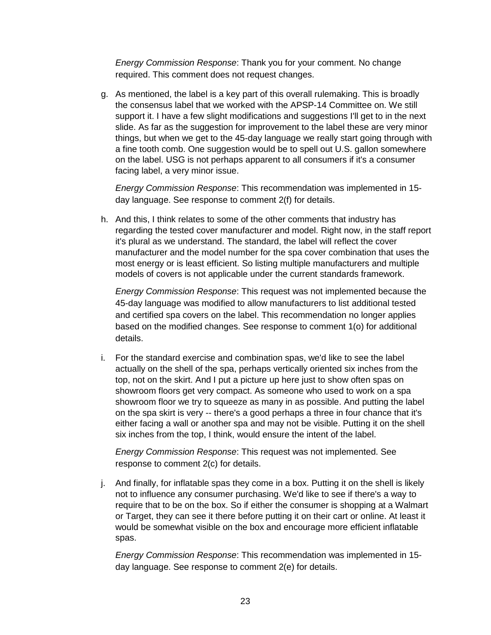*Energy Commission Response*: Thank you for your comment. No change required. This comment does not request changes.

g. As mentioned, the label is a key part of this overall rulemaking. This is broadly the consensus label that we worked with the APSP-14 Committee on. We still support it. I have a few slight modifications and suggestions I'll get to in the next slide. As far as the suggestion for improvement to the label these are very minor things, but when we get to the 45-day language we really start going through with a fine tooth comb. One suggestion would be to spell out U.S. gallon somewhere on the label. USG is not perhaps apparent to all consumers if it's a consumer facing label, a very minor issue.

*Energy Commission Response*: This recommendation was implemented in 15 day language. See response to comment 2(f) for details.

h. And this, I think relates to some of the other comments that industry has regarding the tested cover manufacturer and model. Right now, in the staff report it's plural as we understand. The standard, the label will reflect the cover manufacturer and the model number for the spa cover combination that uses the most energy or is least efficient. So listing multiple manufacturers and multiple models of covers is not applicable under the current standards framework.

*Energy Commission Response*: This request was not implemented because the 45-day language was modified to allow manufacturers to list additional tested and certified spa covers on the label. This recommendation no longer applies based on the modified changes. See response to comment 1(o) for additional details.

i. For the standard exercise and combination spas, we'd like to see the label actually on the shell of the spa, perhaps vertically oriented six inches from the top, not on the skirt. And I put a picture up here just to show often spas on showroom floors get very compact. As someone who used to work on a spa showroom floor we try to squeeze as many in as possible. And putting the label on the spa skirt is very -- there's a good perhaps a three in four chance that it's either facing a wall or another spa and may not be visible. Putting it on the shell six inches from the top, I think, would ensure the intent of the label.

*Energy Commission Response*: This request was not implemented. See response to comment 2(c) for details.

j. And finally, for inflatable spas they come in a box. Putting it on the shell is likely not to influence any consumer purchasing. We'd like to see if there's a way to require that to be on the box. So if either the consumer is shopping at a Walmart or Target, they can see it there before putting it on their cart or online. At least it would be somewhat visible on the box and encourage more efficient inflatable spas.

*Energy Commission Response*: This recommendation was implemented in 15 day language. See response to comment 2(e) for details.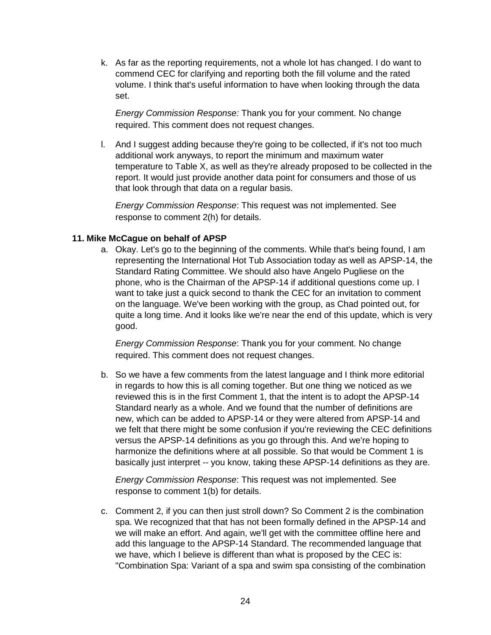k. As far as the reporting requirements, not a whole lot has changed. I do want to commend CEC for clarifying and reporting both the fill volume and the rated volume. I think that's useful information to have when looking through the data set.

*Energy Commission Response:* Thank you for your comment. No change required. This comment does not request changes.

l. And I suggest adding because they're going to be collected, if it's not too much additional work anyways, to report the minimum and maximum water temperature to Table X, as well as they're already proposed to be collected in the report. It would just provide another data point for consumers and those of us that look through that data on a regular basis.

*Energy Commission Response*: This request was not implemented. See response to comment 2(h) for details.

#### **11. Mike McCague on behalf of APSP**

a. Okay. Let's go to the beginning of the comments. While that's being found, I am representing the International Hot Tub Association today as well as APSP-14, the Standard Rating Committee. We should also have Angelo Pugliese on the phone, who is the Chairman of the APSP-14 if additional questions come up. I want to take just a quick second to thank the CEC for an invitation to comment on the language. We've been working with the group, as Chad pointed out, for quite a long time. And it looks like we're near the end of this update, which is very good.

*Energy Commission Response*: Thank you for your comment. No change required. This comment does not request changes.

b. So we have a few comments from the latest language and I think more editorial in regards to how this is all coming together. But one thing we noticed as we reviewed this is in the first Comment 1, that the intent is to adopt the APSP-14 Standard nearly as a whole. And we found that the number of definitions are new, which can be added to APSP-14 or they were altered from APSP-14 and we felt that there might be some confusion if you're reviewing the CEC definitions versus the APSP-14 definitions as you go through this. And we're hoping to harmonize the definitions where at all possible. So that would be Comment 1 is basically just interpret -- you know, taking these APSP-14 definitions as they are.

*Energy Commission Response*: This request was not implemented. See response to comment 1(b) for details.

c. Comment 2, if you can then just stroll down? So Comment 2 is the combination spa. We recognized that that has not been formally defined in the APSP-14 and we will make an effort. And again, we'll get with the committee offline here and add this language to the APSP-14 Standard. The recommended language that we have, which I believe is different than what is proposed by the CEC is: "Combination Spa: Variant of a spa and swim spa consisting of the combination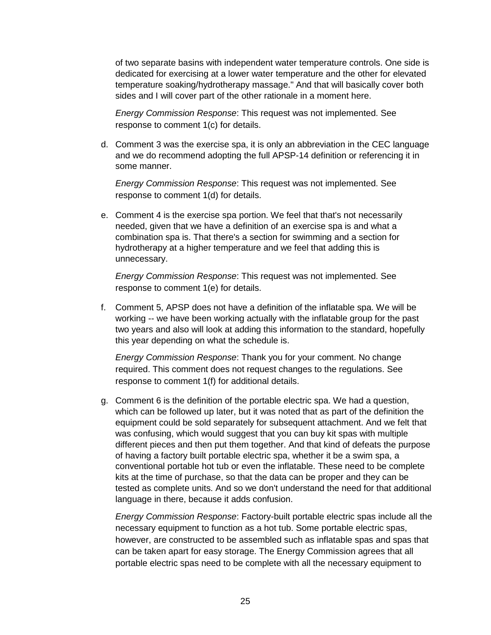of two separate basins with independent water temperature controls. One side is dedicated for exercising at a lower water temperature and the other for elevated temperature soaking/hydrotherapy massage." And that will basically cover both sides and I will cover part of the other rationale in a moment here.

*Energy Commission Response*: This request was not implemented. See response to comment 1(c) for details.

d. Comment 3 was the exercise spa, it is only an abbreviation in the CEC language and we do recommend adopting the full APSP-14 definition or referencing it in some manner.

*Energy Commission Response*: This request was not implemented. See response to comment 1(d) for details.

e. Comment 4 is the exercise spa portion. We feel that that's not necessarily needed, given that we have a definition of an exercise spa is and what a combination spa is. That there's a section for swimming and a section for hydrotherapy at a higher temperature and we feel that adding this is unnecessary.

*Energy Commission Response*: This request was not implemented. See response to comment 1(e) for details.

f. Comment 5, APSP does not have a definition of the inflatable spa. We will be working -- we have been working actually with the inflatable group for the past two years and also will look at adding this information to the standard, hopefully this year depending on what the schedule is.

*Energy Commission Response*: Thank you for your comment. No change required. This comment does not request changes to the regulations. See response to comment 1(f) for additional details.

g. Comment 6 is the definition of the portable electric spa. We had a question, which can be followed up later, but it was noted that as part of the definition the equipment could be sold separately for subsequent attachment. And we felt that was confusing, which would suggest that you can buy kit spas with multiple different pieces and then put them together. And that kind of defeats the purpose of having a factory built portable electric spa, whether it be a swim spa, a conventional portable hot tub or even the inflatable. These need to be complete kits at the time of purchase, so that the data can be proper and they can be tested as complete units. And so we don't understand the need for that additional language in there, because it adds confusion.

*Energy Commission Response*: Factory-built portable electric spas include all the necessary equipment to function as a hot tub. Some portable electric spas, however, are constructed to be assembled such as inflatable spas and spas that can be taken apart for easy storage. The Energy Commission agrees that all portable electric spas need to be complete with all the necessary equipment to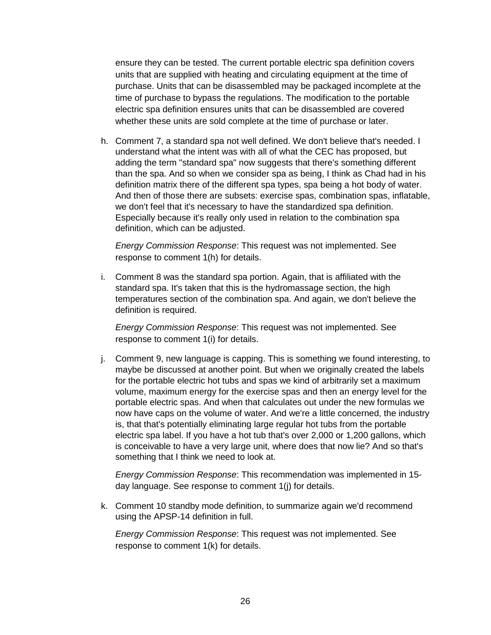ensure they can be tested. The current portable electric spa definition covers units that are supplied with heating and circulating equipment at the time of purchase. Units that can be disassembled may be packaged incomplete at the time of purchase to bypass the regulations. The modification to the portable electric spa definition ensures units that can be disassembled are covered whether these units are sold complete at the time of purchase or later.

h. Comment 7, a standard spa not well defined. We don't believe that's needed. I understand what the intent was with all of what the CEC has proposed, but adding the term "standard spa" now suggests that there's something different than the spa. And so when we consider spa as being, I think as Chad had in his definition matrix there of the different spa types, spa being a hot body of water. And then of those there are subsets: exercise spas, combination spas, inflatable, we don't feel that it's necessary to have the standardized spa definition. Especially because it's really only used in relation to the combination spa definition, which can be adjusted.

*Energy Commission Response*: This request was not implemented. See response to comment 1(h) for details.

i. Comment 8 was the standard spa portion. Again, that is affiliated with the standard spa. It's taken that this is the hydromassage section, the high temperatures section of the combination spa. And again, we don't believe the definition is required.

*Energy Commission Response*: This request was not implemented. See response to comment 1(i) for details.

j. Comment 9, new language is capping. This is something we found interesting, to maybe be discussed at another point. But when we originally created the labels for the portable electric hot tubs and spas we kind of arbitrarily set a maximum volume, maximum energy for the exercise spas and then an energy level for the portable electric spas. And when that calculates out under the new formulas we now have caps on the volume of water. And we're a little concerned, the industry is, that that's potentially eliminating large regular hot tubs from the portable electric spa label. If you have a hot tub that's over 2,000 or 1,200 gallons, which is conceivable to have a very large unit, where does that now lie? And so that's something that I think we need to look at.

*Energy Commission Response*: This recommendation was implemented in 15 day language. See response to comment 1(j) for details.

k. Comment 10 standby mode definition, to summarize again we'd recommend using the APSP-14 definition in full.

*Energy Commission Response*: This request was not implemented. See response to comment 1(k) for details.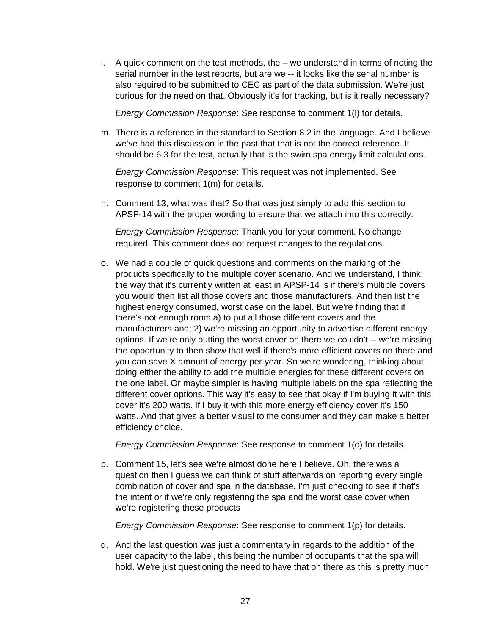l. A quick comment on the test methods, the – we understand in terms of noting the serial number in the test reports, but are we -- it looks like the serial number is also required to be submitted to CEC as part of the data submission. We're just curious for the need on that. Obviously it's for tracking, but is it really necessary?

*Energy Commission Response*: See response to comment 1(l) for details.

m. There is a reference in the standard to Section 8.2 in the language. And I believe we've had this discussion in the past that that is not the correct reference. It should be 6.3 for the test, actually that is the swim spa energy limit calculations.

*Energy Commission Response*: This request was not implemented. See response to comment 1(m) for details.

n. Comment 13, what was that? So that was just simply to add this section to APSP-14 with the proper wording to ensure that we attach into this correctly.

*Energy Commission Response*: Thank you for your comment. No change required. This comment does not request changes to the regulations.

o. We had a couple of quick questions and comments on the marking of the products specifically to the multiple cover scenario. And we understand, I think the way that it's currently written at least in APSP-14 is if there's multiple covers you would then list all those covers and those manufacturers. And then list the highest energy consumed, worst case on the label. But we're finding that if there's not enough room a) to put all those different covers and the manufacturers and; 2) we're missing an opportunity to advertise different energy options. If we're only putting the worst cover on there we couldn't -- we're missing the opportunity to then show that well if there's more efficient covers on there and you can save X amount of energy per year. So we're wondering, thinking about doing either the ability to add the multiple energies for these different covers on the one label. Or maybe simpler is having multiple labels on the spa reflecting the different cover options. This way it's easy to see that okay if I'm buying it with this cover it's 200 watts. If I buy it with this more energy efficiency cover it's 150 watts. And that gives a better visual to the consumer and they can make a better efficiency choice.

*Energy Commission Response*: See response to comment 1(o) for details.

p. Comment 15, let's see we're almost done here I believe. Oh, there was a question then I guess we can think of stuff afterwards on reporting every single combination of cover and spa in the database. I'm just checking to see if that's the intent or if we're only registering the spa and the worst case cover when we're registering these products

*Energy Commission Response*: See response to comment 1(p) for details.

q. And the last question was just a commentary in regards to the addition of the user capacity to the label, this being the number of occupants that the spa will hold. We're just questioning the need to have that on there as this is pretty much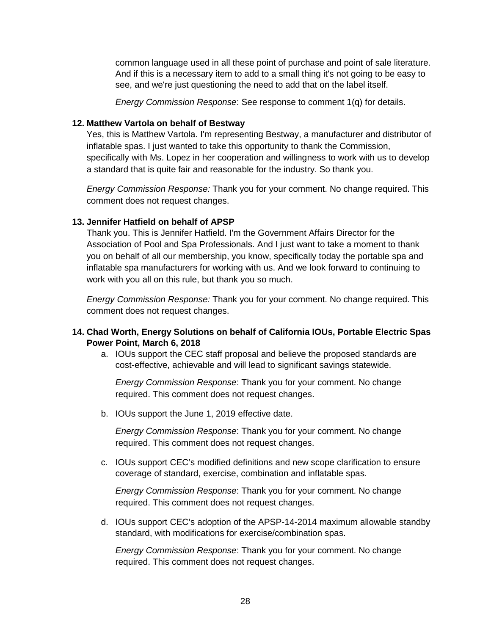common language used in all these point of purchase and point of sale literature. And if this is a necessary item to add to a small thing it's not going to be easy to see, and we're just questioning the need to add that on the label itself.

*Energy Commission Response*: See response to comment 1(q) for details.

#### **12. Matthew Vartola on behalf of Bestway**

Yes, this is Matthew Vartola. I'm representing Bestway, a manufacturer and distributor of inflatable spas. I just wanted to take this opportunity to thank the Commission, specifically with Ms. Lopez in her cooperation and willingness to work with us to develop a standard that is quite fair and reasonable for the industry. So thank you.

*Energy Commission Response:* Thank you for your comment. No change required. This comment does not request changes.

#### **13. Jennifer Hatfield on behalf of APSP**

Thank you. This is Jennifer Hatfield. I'm the Government Affairs Director for the Association of Pool and Spa Professionals. And I just want to take a moment to thank you on behalf of all our membership, you know, specifically today the portable spa and inflatable spa manufacturers for working with us. And we look forward to continuing to work with you all on this rule, but thank you so much.

*Energy Commission Response:* Thank you for your comment. No change required. This comment does not request changes.

#### **14. Chad Worth, Energy Solutions on behalf of California IOUs, Portable Electric Spas Power Point, March 6, 2018**

a. IOUs support the CEC staff proposal and believe the proposed standards are cost-effective, achievable and will lead to significant savings statewide.

*Energy Commission Response*: Thank you for your comment. No change required. This comment does not request changes.

b. IOUs support the June 1, 2019 effective date.

*Energy Commission Response*: Thank you for your comment. No change required. This comment does not request changes.

c. IOUs support CEC's modified definitions and new scope clarification to ensure coverage of standard, exercise, combination and inflatable spas.

*Energy Commission Response*: Thank you for your comment. No change required. This comment does not request changes.

d. IOUs support CEC's adoption of the APSP-14-2014 maximum allowable standby standard, with modifications for exercise/combination spas.

*Energy Commission Response*: Thank you for your comment. No change required. This comment does not request changes.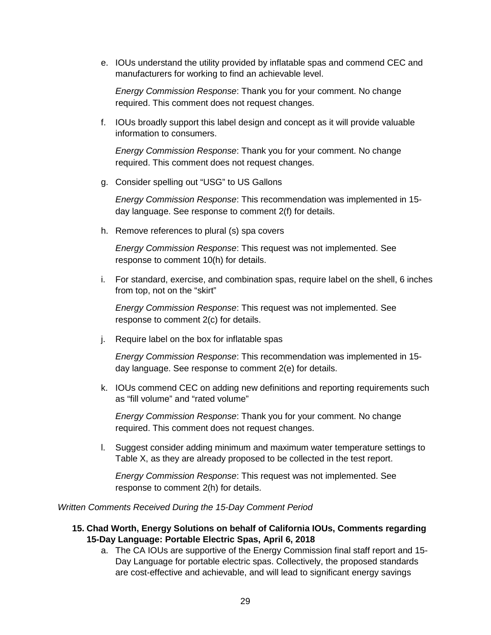e. IOUs understand the utility provided by inflatable spas and commend CEC and manufacturers for working to find an achievable level.

*Energy Commission Response*: Thank you for your comment. No change required. This comment does not request changes.

f. IOUs broadly support this label design and concept as it will provide valuable information to consumers.

*Energy Commission Response*: Thank you for your comment. No change required. This comment does not request changes.

g. Consider spelling out "USG" to US Gallons

*Energy Commission Response*: This recommendation was implemented in 15 day language. See response to comment 2(f) for details.

h. Remove references to plural (s) spa covers

*Energy Commission Response*: This request was not implemented. See response to comment 10(h) for details.

i. For standard, exercise, and combination spas, require label on the shell, 6 inches from top, not on the "skirt"

*Energy Commission Response*: This request was not implemented. See response to comment 2(c) for details.

j. Require label on the box for inflatable spas

*Energy Commission Response*: This recommendation was implemented in 15 day language. See response to comment 2(e) for details.

k. IOUs commend CEC on adding new definitions and reporting requirements such as "fill volume" and "rated volume"

*Energy Commission Response*: Thank you for your comment. No change required. This comment does not request changes.

l. Suggest consider adding minimum and maximum water temperature settings to Table X, as they are already proposed to be collected in the test report.

*Energy Commission Response*: This request was not implemented. See response to comment 2(h) for details.

*Written Comments Received During the 15-Day Comment Period*

- **15. Chad Worth, Energy Solutions on behalf of California IOUs, Comments regarding 15-Day Language: Portable Electric Spas, April 6, 2018**
	- a. The CA IOUs are supportive of the Energy Commission final staff report and 15- Day Language for portable electric spas. Collectively, the proposed standards are cost-effective and achievable, and will lead to significant energy savings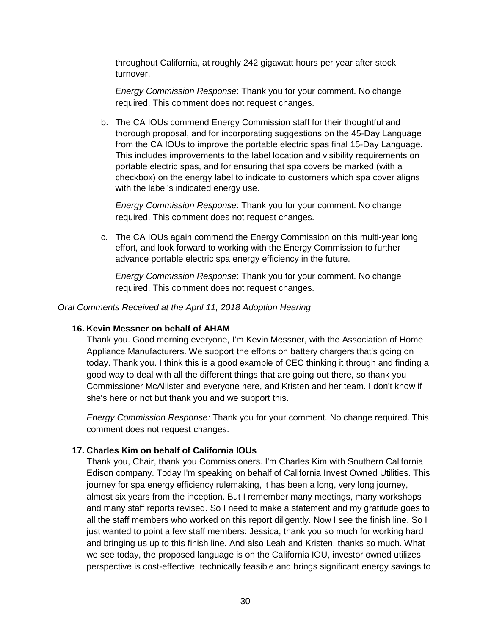throughout California, at roughly 242 gigawatt hours per year after stock turnover.

*Energy Commission Response*: Thank you for your comment. No change required. This comment does not request changes.

b. The CA IOUs commend Energy Commission staff for their thoughtful and thorough proposal, and for incorporating suggestions on the 45-Day Language from the CA IOUs to improve the portable electric spas final 15-Day Language. This includes improvements to the label location and visibility requirements on portable electric spas, and for ensuring that spa covers be marked (with a checkbox) on the energy label to indicate to customers which spa cover aligns with the label's indicated energy use.

*Energy Commission Response*: Thank you for your comment. No change required. This comment does not request changes.

c. The CA IOUs again commend the Energy Commission on this multi-year long effort, and look forward to working with the Energy Commission to further advance portable electric spa energy efficiency in the future.

*Energy Commission Response*: Thank you for your comment. No change required. This comment does not request changes.

*Oral Comments Received at the April 11, 2018 Adoption Hearing* 

#### **16. Kevin Messner on behalf of AHAM**

Thank you. Good morning everyone, I'm Kevin Messner, with the Association of Home Appliance Manufacturers. We support the efforts on battery chargers that's going on today. Thank you. I think this is a good example of CEC thinking it through and finding a good way to deal with all the different things that are going out there, so thank you Commissioner McAllister and everyone here, and Kristen and her team. I don't know if she's here or not but thank you and we support this.

*Energy Commission Response:* Thank you for your comment. No change required. This comment does not request changes.

#### **17. Charles Kim on behalf of California IOUs**

Thank you, Chair, thank you Commissioners. I'm Charles Kim with Southern California Edison company. Today I'm speaking on behalf of California Invest Owned Utilities. This journey for spa energy efficiency rulemaking, it has been a long, very long journey, almost six years from the inception. But I remember many meetings, many workshops and many staff reports revised. So I need to make a statement and my gratitude goes to all the staff members who worked on this report diligently. Now I see the finish line. So I just wanted to point a few staff members: Jessica, thank you so much for working hard and bringing us up to this finish line. And also Leah and Kristen, thanks so much. What we see today, the proposed language is on the California IOU, investor owned utilizes perspective is cost-effective, technically feasible and brings significant energy savings to